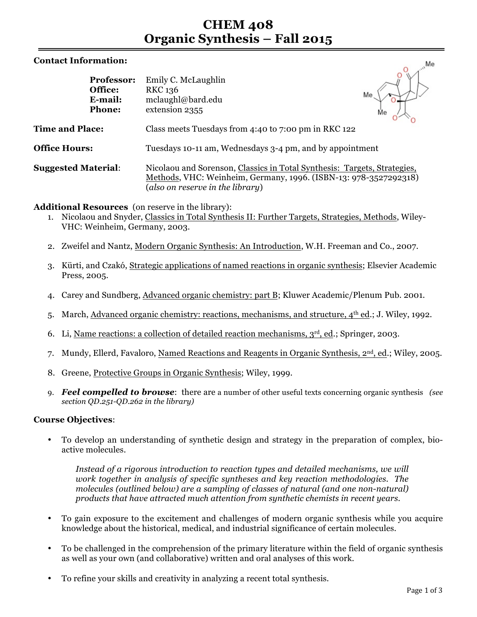# **CHEM 408 Organic Synthesis – Fall 2015**

### **Contact Information:**

| <b>Contact Information:</b> |                                                          |                                                                                                                                                                                  |  |  |
|-----------------------------|----------------------------------------------------------|----------------------------------------------------------------------------------------------------------------------------------------------------------------------------------|--|--|
|                             | <b>Professor:</b><br>Office:<br>E-mail:<br><b>Phone:</b> | Emily C. McLaughlin<br><b>RKC 136</b><br>mclaughl@bard.edu<br>extension 2355                                                                                                     |  |  |
| <b>Time and Place:</b>      |                                                          | Class meets Tuesdays from 4:40 to 7:00 pm in RKC 122                                                                                                                             |  |  |
| <b>Office Hours:</b>        |                                                          | Tuesdays 10-11 am, Wednesdays 3-4 pm, and by appointment                                                                                                                         |  |  |
| <b>Suggested Material:</b>  |                                                          | Nicolaou and Sorenson, Classics in Total Synthesis: Targets, Strategies,<br>Methods, VHC: Weinheim, Germany, 1996. (ISBN-13: 978-3527292318)<br>(also on reserve in the library) |  |  |

## **Additional Resources** (on reserve in the library):

- 1. Nicolaou and Snyder, Classics in Total Synthesis II: Further Targets, Strategies, Methods, Wiley-VHC: Weinheim, Germany, 2003.
- 2. Zweifel and Nantz, Modern Organic Synthesis: An Introduction, W.H. Freeman and Co., 2007.
- 3. Kürti, and Czakó, Strategic applications of named reactions in organic synthesis; Elsevier Academic Press, 2005.
- 4. Carey and Sundberg, Advanced organic chemistry: part B; Kluwer Academic/Plenum Pub. 2001.
- 5. March, Advanced organic chemistry: reactions, mechanisms, and structure,  $4<sup>th</sup>$  ed.; J. Wiley, 1992.
- 6. Li, Name reactions: a collection of detailed reaction mechanisms,  $3<sup>rd</sup>$ , ed.; Springer, 2003.
- 7. Mundy, Ellerd, Favaloro, Named Reactions and Reagents in Organic Synthesis,  $2<sup>nd</sup>$ , ed.; Wiley, 2005.
- 8. Greene, Protective Groups in Organic Synthesis; Wiley, 1999.
- 9. *Feel compelled to browse*: there are a number of other useful texts concerning organic synthesis *(see section QD.251-QD.262 in the library)*

#### **Course Objectives**:

• To develop an understanding of synthetic design and strategy in the preparation of complex, bioactive molecules.

*Instead of a rigorous introduction to reaction types and detailed mechanisms, we will work together in analysis of specific syntheses and key reaction methodologies. The molecules (outlined below) are a sampling of classes of natural (and one non-natural) products that have attracted much attention from synthetic chemists in recent years.*

- To gain exposure to the excitement and challenges of modern organic synthesis while you acquire knowledge about the historical, medical, and industrial significance of certain molecules.
- To be challenged in the comprehension of the primary literature within the field of organic synthesis as well as your own (and collaborative) written and oral analyses of this work.
- To refine your skills and creativity in analyzing a recent total synthesis.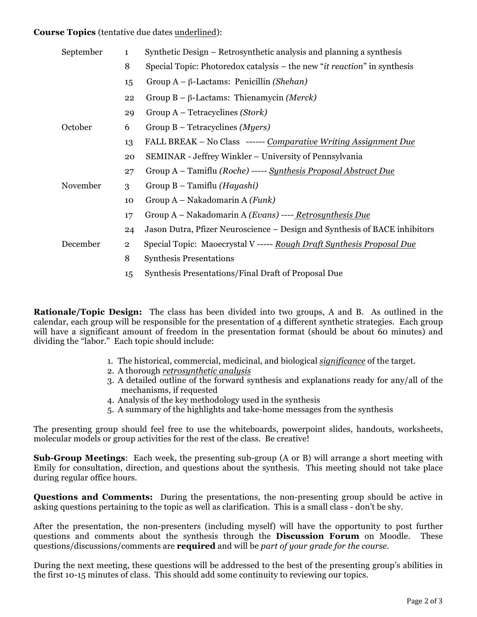**Course Topics** (tentative due dates underlined):

| September | $\mathbf{1}$   | Synthetic Design – Retrosynthetic analysis and planning a synthesis               |
|-----------|----------------|-----------------------------------------------------------------------------------|
|           | 8              | Special Topic: Photoredox catalysis – the new " <i>it reaction</i> " in synthesis |
|           | 15             | Group $A - \beta$ -Lactams: Penicillin (Shehan)                                   |
|           | 22             | Group $B - \beta$ -Lactams: Thienamycin (Merck)                                   |
|           | 29             | Group $A$ – Tetracyclines (Stork)                                                 |
| October   | 6              | Group $B$ – Tetracyclines ( <i>Myers</i> )                                        |
|           | 13             | FALL BREAK – No Class ------ Comparative Writing Assignment Due                   |
|           | 20             | SEMINAR - Jeffrey Winkler – University of Pennsylvania                            |
|           | 27             | Group A – Tamiflu (Roche) ----- Synthesis Proposal Abstract Due                   |
| November  | 3              | Group B – Tamiflu (Hayashi)                                                       |
|           | 10             | Group $A - Nakadomarin A (Funk)$                                                  |
|           | 17             | Group A – Nakadomarin A (Evans) ---- Retrosynthesis Due                           |
|           | 24             | Jason Dutra, Pfizer Neuroscience – Design and Synthesis of BACE inhibitors        |
| December  | $\overline{2}$ | Special Topic: Maoecrystal V ----- Rough Draft Synthesis Proposal Due             |
|           | 8              | <b>Synthesis Presentations</b>                                                    |
|           | 15             | Synthesis Presentations/Final Draft of Proposal Due                               |
|           |                |                                                                                   |

**Rationale/Topic Design:** The class has been divided into two groups, A and B. As outlined in the calendar, each group will be responsible for the presentation of 4 different synthetic strategies. Each group will have a significant amount of freedom in the presentation format (should be about 60 minutes) and dividing the "labor." Each topic should include:

- 1. The historical, commercial, medicinal, and biological *significance* of the target.
- 2. A thorough *retrosynthetic analysis*
- 3. A detailed outline of the forward synthesis and explanations ready for any/all of the mechanisms, if requested
- 4. Analysis of the key methodology used in the synthesis
- 5. A summary of the highlights and take-home messages from the synthesis

The presenting group should feel free to use the whiteboards, powerpoint slides, handouts, worksheets, molecular models or group activities for the rest of the class. Be creative!

**Sub-Group Meetings**: Each week, the presenting sub-group (A or B) will arrange a short meeting with Emily for consultation, direction, and questions about the synthesis. This meeting should not take place during regular office hours.

**Questions and Comments:** During the presentations, the non-presenting group should be active in asking questions pertaining to the topic as well as clarification. This is a small class - don't be shy.

After the presentation, the non-presenters (including myself) will have the opportunity to post further questions and comments about the synthesis through the **Discussion Forum** on Moodle. These questions/discussions/comments are **required** and will be *part of your grade for the course*.

During the next meeting, these questions will be addressed to the best of the presenting group's abilities in the first 10-15 minutes of class. This should add some continuity to reviewing our topics.